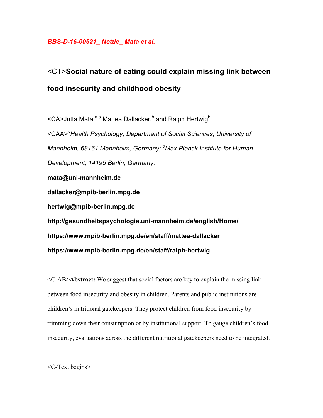## *BBS-D-16-00521\_ Nettle\_ Mata et al.*

## <CT>**Social nature of eating could explain missing link between food insecurity and childhood obesity**

<CA>Jutta Mata,<sup>a,b</sup> Mattea Dallacker,<sup>b</sup> and Ralph Hertwig<sup>b</sup> <CAA>*<sup>a</sup> Health Psychology, Department of Social Sciences, University of Mannheim, 68161 Mannheim, Germany; b Max Planck Institute for Human Development, 14195 Berlin, Germany.* **mata@uni-mannheim.de dallacker@mpib-berlin.mpg.de hertwig@mpib-berlin.mpg.de http://gesundheitspsychologie.uni-mannheim.de/english/Home/ https://www.mpib-berlin.mpg.de/en/staff/mattea-dallacker https://www.mpib-berlin.mpg.de/en/staff/ralph-hertwig**

<C-AB>**Abstract:** We suggest that social factors are key to explain the missing link between food insecurity and obesity in children. Parents and public institutions are children's nutritional gatekeepers. They protect children from food insecurity by trimming down their consumption or by institutional support. To gauge children's food insecurity, evaluations across the different nutritional gatekeepers need to be integrated.

<C-Text begins>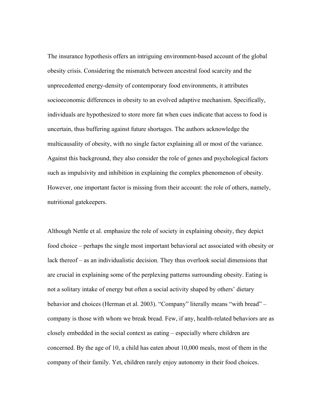The insurance hypothesis offers an intriguing environment-based account of the global obesity crisis. Considering the mismatch between ancestral food scarcity and the unprecedented energy-density of contemporary food environments, it attributes socioeconomic differences in obesity to an evolved adaptive mechanism. Specifically, individuals are hypothesized to store more fat when cues indicate that access to food is uncertain, thus buffering against future shortages. The authors acknowledge the multicausality of obesity, with no single factor explaining all or most of the variance. Against this background, they also consider the role of genes and psychological factors such as impulsivity and inhibition in explaining the complex phenomenon of obesity. However, one important factor is missing from their account: the role of others, namely, nutritional gatekeepers.

Although Nettle et al. emphasize the role of society in explaining obesity, they depict food choice – perhaps the single most important behavioral act associated with obesity or lack thereof – as an individualistic decision. They thus overlook social dimensions that are crucial in explaining some of the perplexing patterns surrounding obesity. Eating is not a solitary intake of energy but often a social activity shaped by others' dietary behavior and choices (Herman et al. 2003). "Company" literally means "with bread" – company is those with whom we break bread. Few, if any, health-related behaviors are as closely embedded in the social context as eating – especially where children are concerned. By the age of 10, a child has eaten about 10,000 meals, most of them in the company of their family. Yet, children rarely enjoy autonomy in their food choices.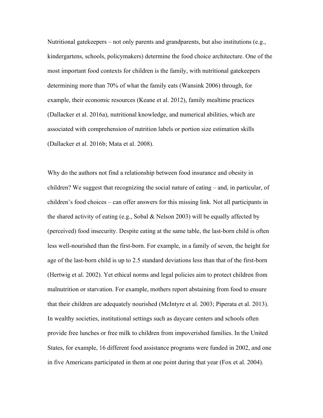Nutritional gatekeepers – not only parents and grandparents, but also institutions (e.g., kindergartens, schools, policymakers) determine the food choice architecture. One of the most important food contexts for children is the family, with nutritional gatekeepers determining more than 70% of what the family eats (Wansink 2006) through, for example, their economic resources (Keane et al. 2012), family mealtime practices (Dallacker et al. 2016a), nutritional knowledge, and numerical abilities, which are associated with comprehension of nutrition labels or portion size estimation skills (Dallacker et al. 2016b; Mata et al. 2008).

Why do the authors not find a relationship between food insurance and obesity in children? We suggest that recognizing the social nature of eating – and, in particular, of children's food choices – can offer answers for this missing link. Not all participants in the shared activity of eating (e.g., Sobal & Nelson 2003) will be equally affected by (perceived) food insecurity. Despite eating at the same table, the last-born child is often less well-nourished than the first-born. For example, in a family of seven, the height for age of the last-born child is up to 2.5 standard deviations less than that of the first-born (Hertwig et al. 2002). Yet ethical norms and legal policies aim to protect children from malnutrition or starvation. For example, mothers report abstaining from food to ensure that their children are adequately nourished (McIntyre et al. 2003; Piperata et al. 2013). In wealthy societies, institutional settings such as daycare centers and schools often provide free lunches or free milk to children from impoverished families. In the United States, for example, 16 different food assistance programs were funded in 2002, and one in five Americans participated in them at one point during that year (Fox et al. 2004).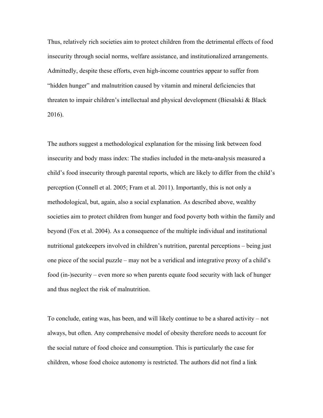Thus, relatively rich societies aim to protect children from the detrimental effects of food insecurity through social norms, welfare assistance, and institutionalized arrangements. Admittedly, despite these efforts, even high-income countries appear to suffer from "hidden hunger" and malnutrition caused by vitamin and mineral deficiencies that threaten to impair children's intellectual and physical development (Biesalski & Black 2016).

The authors suggest a methodological explanation for the missing link between food insecurity and body mass index: The studies included in the meta-analysis measured a child's food insecurity through parental reports, which are likely to differ from the child's perception (Connell et al. 2005; Fram et al. 2011). Importantly, this is not only a methodological, but, again, also a social explanation. As described above, wealthy societies aim to protect children from hunger and food poverty both within the family and beyond (Fox et al. 2004). As a consequence of the multiple individual and institutional nutritional gatekeepers involved in children's nutrition, parental perceptions – being just one piece of the social puzzle – may not be a veridical and integrative proxy of a child's food (in-)security – even more so when parents equate food security with lack of hunger and thus neglect the risk of malnutrition.

To conclude, eating was, has been, and will likely continue to be a shared activity – not always, but often. Any comprehensive model of obesity therefore needs to account for the social nature of food choice and consumption. This is particularly the case for children, whose food choice autonomy is restricted. The authors did not find a link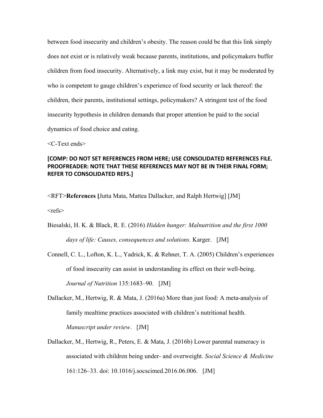between food insecurity and children's obesity. The reason could be that this link simply does not exist or is relatively weak because parents, institutions, and policymakers buffer children from food insecurity. Alternatively, a link may exist, but it may be moderated by who is competent to gauge children's experience of food security or lack thereof: the children, their parents, institutional settings, policymakers? A stringent test of the food insecurity hypothesis in children demands that proper attention be paid to the social dynamics of food choice and eating.

<C-Text ends>

## [COMP: DO NOT SET REFERENCES FROM HERE; USE CONSOLIDATED REFERENCES FILE. **PROOFREADER: NOTE THAT THESE REFERENCES MAY NOT BE IN THEIR FINAL FORM; REFER TO CONSOLIDATED REFS.]**

<RFT>**References [**Jutta Mata, Mattea Dallacker, and Ralph Hertwig] [JM]  $<$ refs $>$ 

- Biesalski, H. K. & Black, R. E. (2016) *Hidden hunger: Malnutrition and the first 1000 days of life: Causes, consequences and solutions.* Karger. [JM]
- Connell, C. L., Lofton, K. L., Yadrick, K. & Rehner, T. A. (2005) Children's experiences of food insecurity can assist in understanding its effect on their well-being. *Journal of Nutrition* 135:1683–90. [JM]
- Dallacker, M., Hertwig, R. & Mata, J. (2016a) More than just food: A meta-analysis of family mealtime practices associated with children's nutritional health. *Manuscript under review*. [JM]
- Dallacker, M., Hertwig, R., Peters, E. & Mata, J. (2016b) Lower parental numeracy is associated with children being under- and overweight. *Social Science & Medicine*  161:126–33. doi: 10.1016/j.socscimed.2016.06.006. [JM]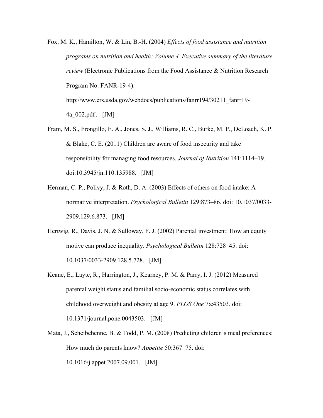Fox, M. K., Hamilton, W. & Lin, B.-H. (2004) *Effects of food assistance and nutrition programs on nutrition and health: Volume 4. Executive summary of the literature review* (Electronic Publications from the Food Assistance & Nutrition Research Program No. FANR-19-4). http://www.ers.usda.gov/webdocs/publications/fanrr194/30211\_fanrr19-

4a\_002.pdf . [JM]

- Fram, M. S., Frongillo, E. A., Jones, S. J., Williams, R. C., Burke, M. P., DeLoach, K. P. & Blake, C. E. (2011) Children are aware of food insecurity and take responsibility for managing food resources. *Journal of Nutrition* 141:1114–19. doi:10.3945/jn.110.135988. [JM]
- Herman, C. P., Polivy, J. & Roth, D. A. (2003) Effects of others on food intake: A normative interpretation. *Psychological Bulletin* 129:873–86. doi: 10.1037/0033- 2909.129.6.873. [JM]
- Hertwig, R., Davis, J. N. & Sulloway, F. J. (2002) Parental investment: How an equity motive can produce inequality. *Psychological Bulletin* 128:728–45. doi: 10.1037/0033-2909.128.5.728. [JM]
- Keane, E., Layte, R., Harrington, J., Kearney, P. M. & Parry, I. J. (2012) Measured parental weight status and familial socio-economic status correlates with childhood overweight and obesity at age 9. *PLOS One* 7:e43503. doi: 10.1371/journal.pone.0043503. [JM]
- Mata, J., Scheibehenne, B. & Todd, P. M. (2008) Predicting children's meal preferences: How much do parents know? *Appetite* 50:367–75. doi: 10.1016/j.appet.2007.09.001. [JM]